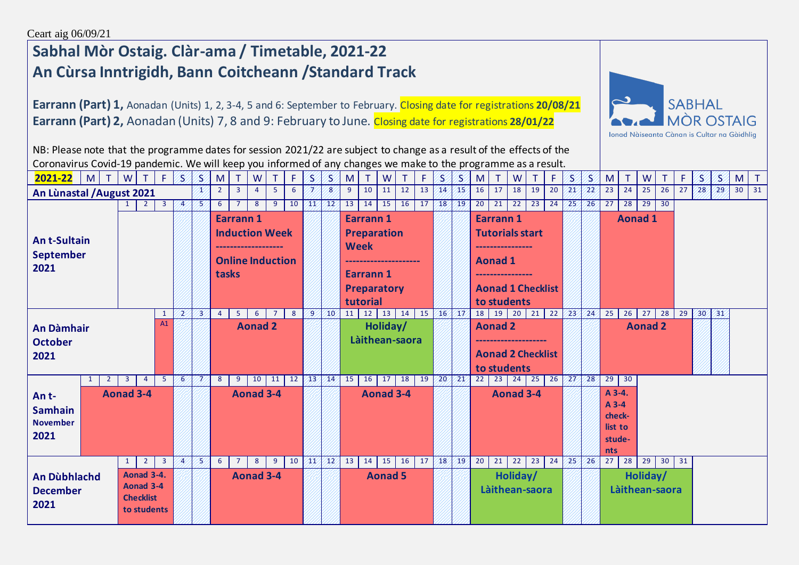## **Sabhal Mòr Ostaig. Clàr-ama / Timetable, 2021-22 An Cùrsa Inntrigidh, Bann Coitcheann /Standard Track**

**Earrann (Part) 1,** Aonadan (Units) 1, 2, 3-4, 5 and 6: September to February. Closing date for registrations **20/08/21 Earrann (Part) 2,** Aonadan (Units) 7, 8 and 9: February to June. Closing date for registrations **28/01/22**



NB: Please note that the programme dates for session 2021/22 are subject to change as a result of the effects of the Coronavirus Covid-19 pandemic. We will keep you informed of any changes we make to the programme as a result. **2021-22** M T W T F S S M T W T F S S M T W T F W S M T W T F S S M T W T F S S M T W T F S S M T W T F S S M T

| An Lùnastal / August 2021                                                                                         | x            | $\overline{2}$                     | $\mathbf{3}$   | $\overline{4}$          | 5              | 6 | 7  | 8              | 9                                  | 10                     | 11                                                              | 12 | 13              | /14          | 15 |                                                                                                                 | 16<br>17       | 18                     | 19          | 20              | 21 | 22                   | 23                                                                                                                 | 24 | 25 | 26                 | 27 | 28 | 29                                                          | 30 <sup>°</sup> | 31                                |    |  |          |  |  |  |
|-------------------------------------------------------------------------------------------------------------------|--------------|------------------------------------|----------------|-------------------------|----------------|---|----|----------------|------------------------------------|------------------------|-----------------------------------------------------------------|----|-----------------|--------------|----|-----------------------------------------------------------------------------------------------------------------|----------------|------------------------|-------------|-----------------|----|----------------------|--------------------------------------------------------------------------------------------------------------------|----|----|--------------------|----|----|-------------------------------------------------------------|-----------------|-----------------------------------|----|--|----------|--|--|--|
| $\overline{3}$<br><b>Ant-Sultain</b><br><b>September</b><br>2021                                                  |              |                                    |                |                         |                |   | 75 | 6<br>tasks     | $7^{\circ}$<br><b>Earrann1</b>     | 8                      | $9^{\circ}$<br><b>Induction Week</b><br><b>Online Induction</b> | 10 | 41              | $\sqrt{12}$  | 13 | 14<br><b>Earrann1</b><br><b>Preparation</b><br><b>Week</b><br><b>Earrann1</b><br><b>Preparatory</b><br>tutorial | $15 \mid$      |                        | $16$ 17     | 18 19           |    |                      | 20<br>21<br><b>Earrann1</b><br><b>Tutorials start</b><br><b>Aonad 1</b><br><b>Aonad 1 Checklist</b><br>to students | 22 | 23 | 24                 | 25 | 26 | 27                                                          | 28              | $\overline{29}$<br><b>Aonad 1</b> | 30 |  |          |  |  |  |
| <sup>1</sup><br>A1<br><b>An Dàmhair</b><br><b>October</b><br>2021                                                 |              |                                    |                |                         |                |   | 73 | $\overline{4}$ | 5 <sub>1</sub>                     | 6<br><b>Aonad 2</b>    | $\overline{7}$                                                  | 8  | -9              | 10           | 11 | 12                                                                                                              | 13<br>Holiday/ | Làithean-saora         | 14 15 16 17 |                 |    |                      | 19<br>18<br><b>Aonad 2</b><br><b>Aonad 2 Checklist</b><br>to students                                              |    |    | $20$ 21 22 23      |    | 24 | 25                                                          | 26              | 27<br><b>Aonad 2</b>              | 28 |  | 29 30 31 |  |  |  |
| An t-<br><b>Samhain</b><br><b>November</b><br>2021                                                                | $\mathbf{1}$ | $\overline{2}$<br><b>Aonad 3-4</b> | $\overline{3}$ | $\overline{4}$          | -5             | 6 | v  | 8              | 9                                  | 10<br><b>Aonad 3-4</b> | 11                                                              | 12 | 13              | $ 14\rangle$ | 15 | 16                                                                                                              | 17             | 18<br><b>Aonad 3-4</b> | 19          | 20 <sup>2</sup> | 21 |                      | 22<br>23<br><b>Aonad 3-4</b>                                                                                       | 24 | 25 | $26 \overline{27}$ |    | 28 | 29<br>A 3-4.<br>A 3-4<br>check-<br>list to<br>stude-<br>nts | 30              |                                   |    |  |          |  |  |  |
| $1 \mid$<br>Aonad 3-4.<br>An Dùbhlachd<br>Aonad 3-4<br><b>December</b><br><b>Checklist</b><br>2021<br>to students |              |                                    | $\overline{2}$ | $\overline{\mathbf{3}}$ | $\overline{4}$ | B | 6  | $7^{\circ}$    | 8 <sup>1</sup><br><b>Aonad 3-4</b> | 9                      | 10                                                              | ЛĽ | 42 <sup>7</sup> | 13           | 14 | 15<br><b>Aonad 5</b>                                                                                            | 16             | 17                     | 18          | /19/            | 20 | 21<br>Làithean-saora | 22<br>Holiday/                                                                                                     | 23 | 24 | 25 <sup>′</sup>    | 26 | 27 | 28                                                          | 29<br>Holiday/  | 30<br>Làithean-saora              | 31 |  |          |  |  |  |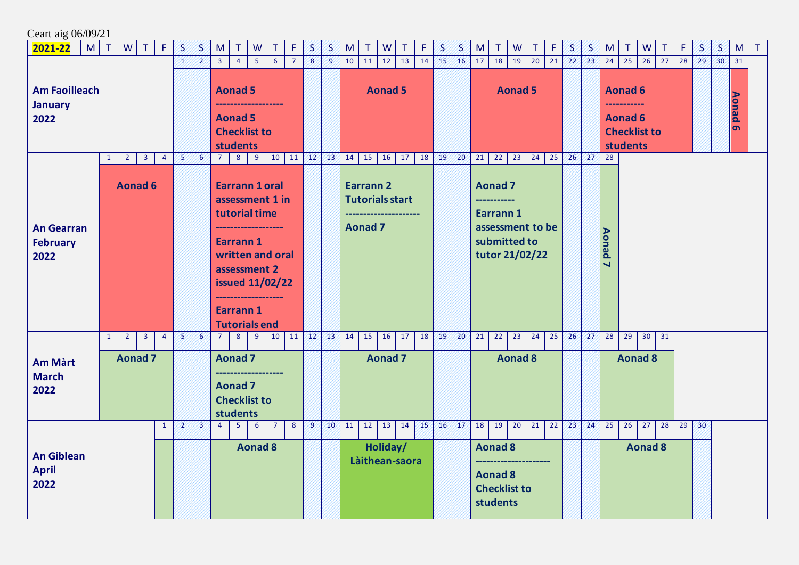| Ceart aig 06/09/21                           |                                |                         |                |                |                |                                                                                             |                                                                                       |                |                                                                                        |                           |                |                            |                                                              |        |  |                                   |                                                                     |    |                     |  |                                                                                                 |                |    |    |                 |                |               |                            |                     |                 |    |                 |    |                          |        |
|----------------------------------------------|--------------------------------|-------------------------|----------------|----------------|----------------|---------------------------------------------------------------------------------------------|---------------------------------------------------------------------------------------|----------------|----------------------------------------------------------------------------------------|---------------------------|----------------|----------------------------|--------------------------------------------------------------|--------|--|-----------------------------------|---------------------------------------------------------------------|----|---------------------|--|-------------------------------------------------------------------------------------------------|----------------|----|----|-----------------|----------------|---------------|----------------------------|---------------------|-----------------|----|-----------------|----|--------------------------|--------|
| 2021-22<br>M <sub>1</sub>                    | $\top$<br><b>W</b>             |                         | $T$ $F$        | B.             | S              | M                                                                                           | T.                                                                                    | W              | T.                                                                                     | F.                        | S              | S                          | M                                                            | $\top$ |  | W<br>$\top$                       | F.                                                                  | S  | $\mathcal{S}% _{0}$ |  | $\top$<br>M                                                                                     | W              | T. | F  | S               | S              | M             | $\top$                     | W                   | T               | F. | S               | S  | M                        | $\top$ |
| <b>Am Faoilleach</b>                         |                                |                         |                |                | $\overline{2}$ | 5 <sup>1</sup><br>$\overline{3}$<br>6<br>$\overline{7}$<br>$\overline{4}$<br><b>Aonad 5</b> |                                                                                       |                |                                                                                        |                           |                | $\overline{9}$             | 10<br>11<br>12<br>13<br>14<br><b>Aonad 5</b>                 |        |  |                                   |                                                                     | 15 | 16                  |  | 18<br>19<br>20<br>21<br>17<br><b>Aonad 5</b>                                                    |                |    |    |                 | 23             | 24            | 25<br><b>Aonad 6</b>       | 26                  | 27              | 28 | 29 <sup>′</sup> | 30 | 31                       |        |
| <b>January</b><br>2022                       |                                |                         |                |                |                |                                                                                             | <b>Aonad 5</b><br><b>Checklist to</b><br><b>students</b>                              |                |                                                                                        |                           |                |                            |                                                              |        |  |                                   |                                                                     |    |                     |  |                                                                                                 |                |    |    |                 |                |               | <b>Aonad 6</b><br>students | <b>Checklist to</b> |                 |    |                 |    | <b>Aonad</b><br>$\sigma$ |        |
|                                              | $\overline{2}$<br>$\mathbf{1}$ | 3 <sup>7</sup>          | $\overline{4}$ | 5              | 6              | 7 <sup>1</sup>                                                                              | 8                                                                                     | 9              |                                                                                        | $10 \mid 11 \mid 12 \mid$ |                | $\sqrt{13}$                | 14                                                           |        |  | $15 \mid 16 \mid 17 \mid 18 \mid$ |                                                                     | 19 | 20 <sup>7</sup>     |  | 21<br>22                                                                                        | 23             | 24 | 25 | $26 \times 27$  |                | 28            |                            |                     |                 |    |                 |    |                          |        |
| <b>An Gearran</b><br><b>February</b><br>2022 |                                | <b>Aonad 6</b>          |                |                |                |                                                                                             | tutorial time<br><b>Earrann1</b><br>assessment 2<br>Earrann 1<br><b>Tutorials end</b> |                | <b>Earrann 1 oral</b><br>assessment 1 in<br>written and oral<br><b>issued 11/02/22</b> |                           |                |                            | <b>Earrann 2</b><br><b>Tutorials start</b><br><b>Aonad 7</b> |        |  |                                   |                                                                     |    |                     |  | <b>Aonad 7</b><br>----------<br>Earrann 1<br>assessment to be<br>submitted to<br>tutor 21/02/22 |                |    |    |                 |                | <b>Aonad7</b> |                            |                     |                 |    |                 |    |                          |        |
|                                              | $\overline{2}$<br>$\mathbf{1}$ | $\overline{\mathbf{3}}$ | $\overline{4}$ | 5              | 6              | 7 <sup>7</sup>                                                                              | 8 <sup>1</sup>                                                                        | 9 <sup>1</sup> | 10                                                                                     |                           | $11 \ 12$      | 43/                        | 14                                                           |        |  | $15 \mid 16 \mid 17$              | 18                                                                  | 19 | 20 <sup>7</sup>     |  | 21<br>22                                                                                        | 23             | 24 | 25 | 26              | 27             | 28            | 29                         | $30 \mid 31$        |                 |    |                 |    |                          |        |
| <b>Am Màrt</b><br><b>March</b><br>2022       | <b>Aonad 7</b>                 |                         |                |                |                |                                                                                             | <b>Aonad 7</b><br><b>Aonad 7</b><br><b>Checklist to</b><br>students                   |                |                                                                                        |                           |                |                            |                                                              |        |  | <b>Aonad 7</b>                    |                                                                     |    |                     |  |                                                                                                 | <b>Aonad 8</b> |    |    |                 |                |               |                            | <b>Aonad 8</b>      |                 |    |                 |    |                          |        |
|                                              |                                |                         | $\mathbf{1}$   | 2              | 23             | $\overline{4}$                                                                              | $\overline{5}$                                                                        | $6^{\circ}$    | $\overline{7}$                                                                         | 8                         | $\overline{9}$ | 10                         | 11                                                           |        |  | $12$ 13 14                        | 45%                                                                 |    | 16/17/              |  | 18                                                                                              | $19 \mid 20$   | 21 | 22 | 23 <sup>1</sup> | 24             | 25            | 26                         | 27                  | $\overline{28}$ | 29 | 30 <sup>°</sup> |    |                          |        |
| <b>An Giblean</b><br><b>April</b><br>2022    |                                |                         |                | <b>Aonad 8</b> |                |                                                                                             |                                                                                       |                |                                                                                        |                           |                | Holiday/<br>Làithean-saora |                                                              |        |  |                                   | <b>Aonad 8</b><br><b>Aonad 8</b><br><b>Checklist to</b><br>students |    |                     |  |                                                                                                 |                |    |    |                 | <b>Aonad 8</b> |               |                            |                     |                 |    |                 |    |                          |        |